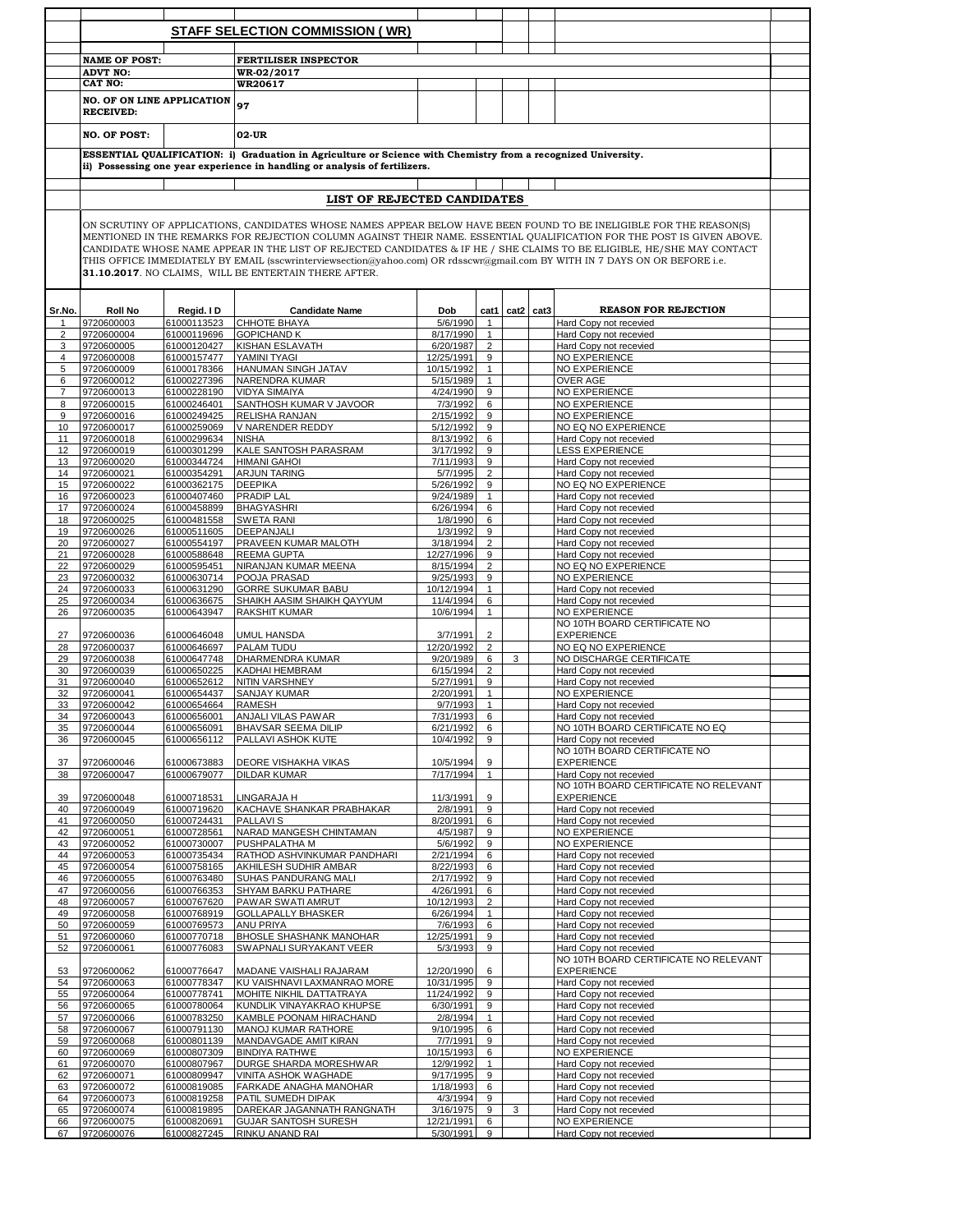|                |                                                                                                                                                                                                                                                                                                                                                                                                                                                                                                                                                                 |                            | <b>STAFF SELECTION COMMISSION (WR)</b>                                     |                          |                     |      |      |                                                    |  |  |  |
|----------------|-----------------------------------------------------------------------------------------------------------------------------------------------------------------------------------------------------------------------------------------------------------------------------------------------------------------------------------------------------------------------------------------------------------------------------------------------------------------------------------------------------------------------------------------------------------------|----------------------------|----------------------------------------------------------------------------|--------------------------|---------------------|------|------|----------------------------------------------------|--|--|--|
|                |                                                                                                                                                                                                                                                                                                                                                                                                                                                                                                                                                                 |                            |                                                                            |                          |                     |      |      |                                                    |  |  |  |
|                |                                                                                                                                                                                                                                                                                                                                                                                                                                                                                                                                                                 |                            |                                                                            |                          |                     |      |      |                                                    |  |  |  |
|                | <b>NAME OF POST:</b>                                                                                                                                                                                                                                                                                                                                                                                                                                                                                                                                            |                            | <b>FERTILISER INSPECTOR</b>                                                |                          |                     |      |      |                                                    |  |  |  |
|                | <b>ADVT NO:</b>                                                                                                                                                                                                                                                                                                                                                                                                                                                                                                                                                 |                            | WR-02/2017                                                                 |                          |                     |      |      |                                                    |  |  |  |
|                | <b>CAT NO:</b>                                                                                                                                                                                                                                                                                                                                                                                                                                                                                                                                                  |                            | WR20617                                                                    |                          |                     |      |      |                                                    |  |  |  |
|                | <b>NO. OF ON LINE APPLICATION</b><br><b>RECEIVED:</b>                                                                                                                                                                                                                                                                                                                                                                                                                                                                                                           |                            | 97                                                                         |                          |                     |      |      |                                                    |  |  |  |
|                | NO. OF POST:                                                                                                                                                                                                                                                                                                                                                                                                                                                                                                                                                    |                            | 02-UR                                                                      |                          |                     |      |      |                                                    |  |  |  |
|                | ESSENTIAL QUALIFICATION: i) Graduation in Agriculture or Science with Chemistry from a recognized University.                                                                                                                                                                                                                                                                                                                                                                                                                                                   |                            |                                                                            |                          |                     |      |      |                                                    |  |  |  |
|                |                                                                                                                                                                                                                                                                                                                                                                                                                                                                                                                                                                 |                            | ii) Possessing one year experience in handling or analysis of fertilizers. |                          |                     |      |      |                                                    |  |  |  |
|                |                                                                                                                                                                                                                                                                                                                                                                                                                                                                                                                                                                 |                            |                                                                            |                          |                     |      |      |                                                    |  |  |  |
|                |                                                                                                                                                                                                                                                                                                                                                                                                                                                                                                                                                                 |                            | LIST OF REJECTED CANDIDATES                                                |                          |                     |      |      |                                                    |  |  |  |
|                | ON SCRUTINY OF APPLICATIONS, CANDIDATES WHOSE NAMES APPEAR BELOW HAVE BEEN FOUND TO BE INELIGIBLE FOR THE REASON(S)<br>MENTIONED IN THE REMARKS FOR REJECTION COLUMN AGAINST THEIR NAME. ESSENTIAL QUALIFICATION FOR THE POST IS GIVEN ABOVE.<br>CANDIDATE WHOSE NAME APPEAR IN THE LIST OF REJECTED CANDIDATES & IF HE / SHE CLAIMS TO BE ELIGIBLE, HE/SHE MAY CONTACT<br>THIS OFFICE IMMEDIATELY BY EMAIL (sscwrinterviewsection@yahoo.com) OR rdsscwr@gmail.com BY WITH IN 7 DAYS ON OR BEFORE i.e.<br>31.10.2017. NO CLAIMS, WILL BE ENTERTAIN THERE AFTER. |                            |                                                                            |                          |                     |      |      |                                                    |  |  |  |
| Sr.No.         | <b>Roll No</b>                                                                                                                                                                                                                                                                                                                                                                                                                                                                                                                                                  | Regid. I D                 | <b>Candidate Name</b>                                                      | Dob                      | cat1                | cat2 | cat3 | <b>REASON FOR REJECTION</b>                        |  |  |  |
| 1              | 9720600003                                                                                                                                                                                                                                                                                                                                                                                                                                                                                                                                                      | 61000113523                | CHHOTE BHAYA                                                               | 5/6/1990                 | $\mathbf{1}$        |      |      | Hard Copy not recevied                             |  |  |  |
| 2              | 9720600004                                                                                                                                                                                                                                                                                                                                                                                                                                                                                                                                                      | 61000119696                | <b>GOPICHAND K</b>                                                         | 8/17/1990                | $\mathbf{1}$        |      |      | Hard Copy not recevied                             |  |  |  |
| 3              | 9720600005                                                                                                                                                                                                                                                                                                                                                                                                                                                                                                                                                      | 61000120427                | KISHAN ESLAVATH                                                            | 6/20/1987                | $\overline{2}$      |      |      | Hard Copy not recevied                             |  |  |  |
| 4              | 9720600008                                                                                                                                                                                                                                                                                                                                                                                                                                                                                                                                                      | 61000157477                | YAMINI TYAGI                                                               | 12/25/1991               | 9                   |      |      | NO EXPERIENCE                                      |  |  |  |
| 5              | 9720600009                                                                                                                                                                                                                                                                                                                                                                                                                                                                                                                                                      | 61000178366                | HANUMAN SINGH JATAV                                                        | 10/15/1992               | $\mathbf{1}$        |      |      | NO EXPERIENCE                                      |  |  |  |
| 6              | 9720600012                                                                                                                                                                                                                                                                                                                                                                                                                                                                                                                                                      | 61000227396                | NARENDRA KUMAR                                                             | 5/15/1989                | $\mathbf{1}$        |      |      | OVER AGE                                           |  |  |  |
| $\overline{7}$ | 9720600013                                                                                                                                                                                                                                                                                                                                                                                                                                                                                                                                                      | 61000228190                | <b>VIDYA SIMAIYA</b>                                                       | 4/24/1990                | $\overline{9}$      |      |      | NO EXPERIENCE                                      |  |  |  |
| 8              | 9720600015                                                                                                                                                                                                                                                                                                                                                                                                                                                                                                                                                      | 61000246401                | SANTHOSH KUMAR V JAVOOR                                                    | 7/3/1992                 | 6                   |      |      | <b>NO EXPERIENCE</b>                               |  |  |  |
| 9              | 9720600016                                                                                                                                                                                                                                                                                                                                                                                                                                                                                                                                                      | 61000249425                | <b>RELISHA RANJAN</b>                                                      | 2/15/1992                | 9                   |      |      | NO EXPERIENCE                                      |  |  |  |
| 10             | 9720600017                                                                                                                                                                                                                                                                                                                                                                                                                                                                                                                                                      | 61000259069                | V NARENDER REDDY                                                           | 5/12/1992                | 9                   |      |      | NO EQ NO EXPERIENCE                                |  |  |  |
| 11<br>12       | 9720600018<br>9720600019                                                                                                                                                                                                                                                                                                                                                                                                                                                                                                                                        | 61000299634<br>61000301299 | <b>NISHA</b><br>KALE SANTOSH PARASRAM                                      | 8/13/1992<br>3/17/1992   | 6<br>9              |      |      | Hard Copy not recevied<br>LESS EXPERIENCE          |  |  |  |
| 13             | 9720600020                                                                                                                                                                                                                                                                                                                                                                                                                                                                                                                                                      | 61000344724                | <b>HIMANI GAHOI</b>                                                        | 7/11/1993                | 9                   |      |      | Hard Copy not recevied                             |  |  |  |
| 14             | 9720600021                                                                                                                                                                                                                                                                                                                                                                                                                                                                                                                                                      | 61000354291                | <b>ARJUN TARING</b>                                                        | 5/7/1995                 | $\overline{2}$      |      |      | Hard Copy not recevied                             |  |  |  |
| 15             | 9720600022                                                                                                                                                                                                                                                                                                                                                                                                                                                                                                                                                      | 61000362175                | <b>DEEPIKA</b>                                                             | 5/26/1992                | 9                   |      |      | NO EQ NO EXPERIENCE                                |  |  |  |
| 16             | 9720600023                                                                                                                                                                                                                                                                                                                                                                                                                                                                                                                                                      | 61000407460                | <b>PRADIP LAL</b>                                                          | 9/24/1989                | $\mathbf{1}$        |      |      | Hard Copy not recevied                             |  |  |  |
| 17             | 9720600024                                                                                                                                                                                                                                                                                                                                                                                                                                                                                                                                                      | 61000458899                | <b>BHAGYASHRI</b>                                                          | 6/26/1994                | 6                   |      |      | Hard Copy not recevied                             |  |  |  |
| 18             | 9720600025                                                                                                                                                                                                                                                                                                                                                                                                                                                                                                                                                      | 61000481558                | <b>SWETA RANI</b>                                                          | 1/8/1990                 | 6                   |      |      | Hard Copy not recevied                             |  |  |  |
| 19             | 9720600026                                                                                                                                                                                                                                                                                                                                                                                                                                                                                                                                                      | 61000511605                | <b>DEEPANJALI</b>                                                          | 1/3/1992                 | 9                   |      |      | Hard Copy not recevied                             |  |  |  |
| 20             | 9720600027                                                                                                                                                                                                                                                                                                                                                                                                                                                                                                                                                      | 61000554197                | PRAVEEN KUMAR MALOTH                                                       | 3/18/1994                | $\overline{2}$      |      |      | Hard Copy not recevied                             |  |  |  |
| 21             | 9720600028                                                                                                                                                                                                                                                                                                                                                                                                                                                                                                                                                      | 61000588648                | <b>REEMA GUPTA</b>                                                         | 12/27/1996               | 9                   |      |      | Hard Copy not recevied                             |  |  |  |
| 22             | 9720600029                                                                                                                                                                                                                                                                                                                                                                                                                                                                                                                                                      | 61000595451                | NIRANJAN KUMAR MEENA                                                       | 8/15/1994                | $\overline{2}$      |      |      | NO EQ NO EXPERIENCE                                |  |  |  |
| 23             | 9720600032                                                                                                                                                                                                                                                                                                                                                                                                                                                                                                                                                      | 61000630714                | POOJA PRASAD                                                               | 9/25/1993                | 9                   |      |      | NO EXPERIENCE                                      |  |  |  |
| 24             | 9720600033                                                                                                                                                                                                                                                                                                                                                                                                                                                                                                                                                      | 61000631290                | <b>GORRE SUKUMAR BABU</b>                                                  | 10/12/1994               | $\mathbf{1}$        |      |      | Hard Copy not recevied                             |  |  |  |
| 25             | 9720600034                                                                                                                                                                                                                                                                                                                                                                                                                                                                                                                                                      | 61000636675                | SHAIKH AASIM SHAIKH QAYYUM                                                 | 11/4/1994                | 6                   |      |      | Hard Copy not recevied                             |  |  |  |
| 26             | 9720600035                                                                                                                                                                                                                                                                                                                                                                                                                                                                                                                                                      | 61000643947                | RAKSHIT KUMAR                                                              | 10/6/1994                | $\mathbf{1}$        |      |      | <b>NO EXPERIENCE</b>                               |  |  |  |
|                |                                                                                                                                                                                                                                                                                                                                                                                                                                                                                                                                                                 |                            |                                                                            |                          |                     |      |      | NO 10TH BOARD CERTIFICATE NO                       |  |  |  |
| 27             | 9720600036                                                                                                                                                                                                                                                                                                                                                                                                                                                                                                                                                      | 61000646048                | <b>UMUL HANSDA</b>                                                         | 3/7/1991                 | $\overline{2}$      |      |      | <b>EXPERIENCE</b>                                  |  |  |  |
| 28             | 9720600037<br>9720600038                                                                                                                                                                                                                                                                                                                                                                                                                                                                                                                                        | 61000646697<br>61000647748 | PALAM TUDU                                                                 | 12/20/1992<br>9/20/1989  | $\overline{2}$      | 3    |      | NO EQ NO EXPERIENCE                                |  |  |  |
| 29<br>30       | 9720600039                                                                                                                                                                                                                                                                                                                                                                                                                                                                                                                                                      | 61000650225                | DHARMENDRA KUMAR<br>KADHAI HEMBRAM                                         | 6/15/1994                | 6<br>$\overline{2}$ |      |      | NO DISCHARGE CERTIFICATE<br>Hard Copy not recevied |  |  |  |
| 31             | 9720600040                                                                                                                                                                                                                                                                                                                                                                                                                                                                                                                                                      | 61000652612                | <b>NITIN VARSHNEY</b>                                                      | 5/27/1991                | 9                   |      |      | Hard Copy not recevied                             |  |  |  |
| 32             | 9720600041                                                                                                                                                                                                                                                                                                                                                                                                                                                                                                                                                      | 61000654437                | <b>SANJAY KUMAR</b>                                                        | 2/20/1991                | $\mathbf{1}$        |      |      | NO EXPERIENCE                                      |  |  |  |
| 33             | 9720600042                                                                                                                                                                                                                                                                                                                                                                                                                                                                                                                                                      | 61000654664                | RAMESH                                                                     | 9/7/1993                 |                     |      |      | Hard Copy not recevied                             |  |  |  |
| 34             | 9720600043                                                                                                                                                                                                                                                                                                                                                                                                                                                                                                                                                      | 61000656001                | ANJALI VILAS PAWAR                                                         | 7/31/1993                | 6                   |      |      | Hard Copy not recevied                             |  |  |  |
| 35             | 9720600044                                                                                                                                                                                                                                                                                                                                                                                                                                                                                                                                                      | 61000656091                | <b>BHAVSAR SEEMA DILIP</b>                                                 | 6/21/1992                | 6                   |      |      | NO 10TH BOARD CERTIFICATE NO EQ                    |  |  |  |
| 36             | 9720600045                                                                                                                                                                                                                                                                                                                                                                                                                                                                                                                                                      | 61000656112                | PALLAVI ASHOK KUTE                                                         | 10/4/1992                | 9                   |      |      | Hard Copy not recevied                             |  |  |  |
|                |                                                                                                                                                                                                                                                                                                                                                                                                                                                                                                                                                                 |                            |                                                                            |                          |                     |      |      | NO 10TH BOARD CERTIFICATE NO                       |  |  |  |
| 37             | 9720600046                                                                                                                                                                                                                                                                                                                                                                                                                                                                                                                                                      | 61000673883                | DEORE VISHAKHA VIKAS                                                       | 10/5/1994                | 9                   |      |      | <b>EXPERIENCE</b>                                  |  |  |  |
| 38             | 9720600047                                                                                                                                                                                                                                                                                                                                                                                                                                                                                                                                                      | 61000679077                | <b>DILDAR KUMAR</b>                                                        | 7/17/1994                | $\mathbf{1}$        |      |      | Hard Copy not recevied                             |  |  |  |
|                |                                                                                                                                                                                                                                                                                                                                                                                                                                                                                                                                                                 |                            |                                                                            |                          |                     |      |      | NO 10TH BOARD CERTIFICATE NO RELEVANT              |  |  |  |
| 39             | 9720600048                                                                                                                                                                                                                                                                                                                                                                                                                                                                                                                                                      | 61000718531                | LINGARAJA H                                                                | 11/3/1991                | 9                   |      |      | <b>EXPERIENCE</b>                                  |  |  |  |
| 40<br>41       | 9720600049                                                                                                                                                                                                                                                                                                                                                                                                                                                                                                                                                      | 61000719620                | KACHAVE SHANKAR PRABHAKAR<br><b>PALLAVIS</b>                               | 2/8/1991                 | 9<br>6              |      |      | Hard Copy not recevied                             |  |  |  |
| 42             | 9720600050<br>9720600051                                                                                                                                                                                                                                                                                                                                                                                                                                                                                                                                        | 61000724431<br>61000728561 | NARAD MANGESH CHINTAMAN                                                    | 8/20/1991<br>4/5/1987    | 9                   |      |      | Hard Copy not recevied<br>NO EXPERIENCE            |  |  |  |
| 43             | 9720600052                                                                                                                                                                                                                                                                                                                                                                                                                                                                                                                                                      | 61000730007                | PUSHPALATHA M                                                              | 5/6/1992                 | 9                   |      |      | NO EXPERIENCE                                      |  |  |  |
| 44             | 9720600053                                                                                                                                                                                                                                                                                                                                                                                                                                                                                                                                                      | 61000735434                | RATHOD ASHVINKUMAR PANDHARI                                                | 2/21/1994                | 6                   |      |      | Hard Copy not recevied                             |  |  |  |
| 45             | 9720600054                                                                                                                                                                                                                                                                                                                                                                                                                                                                                                                                                      | 61000758165                | AKHILESH SUDHIR AMBAR                                                      | 8/22/1993                | 6                   |      |      | Hard Copy not recevied                             |  |  |  |
| 46             | 9720600055                                                                                                                                                                                                                                                                                                                                                                                                                                                                                                                                                      | 61000763480                | SUHAS PANDURANG MALI                                                       | 2/17/1992                | 9                   |      |      | Hard Copy not recevied                             |  |  |  |
| 47             | 9720600056                                                                                                                                                                                                                                                                                                                                                                                                                                                                                                                                                      | 61000766353                | SHYAM BARKU PATHARE                                                        | 4/26/1991                | 6                   |      |      | Hard Copy not recevied                             |  |  |  |
| 48             | 9720600057                                                                                                                                                                                                                                                                                                                                                                                                                                                                                                                                                      | 61000767620                | PAWAR SWATI AMRUT                                                          | 10/12/1993               | 2                   |      |      | Hard Copy not recevied                             |  |  |  |
| 49             | 9720600058                                                                                                                                                                                                                                                                                                                                                                                                                                                                                                                                                      | 61000768919                | <b>GOLLAPALLY BHASKER</b>                                                  | 6/26/1994                | $\mathbf{1}$        |      |      | Hard Copy not recevied                             |  |  |  |
| 50             | 9720600059                                                                                                                                                                                                                                                                                                                                                                                                                                                                                                                                                      | 61000769573                | ANU PRIYA                                                                  | 7/6/1993                 | 6                   |      |      | Hard Copy not recevied                             |  |  |  |
| 51             | 9720600060                                                                                                                                                                                                                                                                                                                                                                                                                                                                                                                                                      | 61000770718                | BHOSLE SHASHANK MANOHAR                                                    | 12/25/1991               | 9                   |      |      | Hard Copy not recevied                             |  |  |  |
| 52             | 9720600061                                                                                                                                                                                                                                                                                                                                                                                                                                                                                                                                                      | 61000776083                | SWAPNALI SURYAKANT VEER                                                    | 5/3/1993                 | 9                   |      |      | Hard Copy not recevied                             |  |  |  |
|                |                                                                                                                                                                                                                                                                                                                                                                                                                                                                                                                                                                 |                            |                                                                            |                          |                     |      |      | NO 10TH BOARD CERTIFICATE NO RELEVANT              |  |  |  |
| 53<br>54       | 9720600062<br>9720600063                                                                                                                                                                                                                                                                                                                                                                                                                                                                                                                                        | 61000776647<br>61000778347 | MADANE VAISHALI RAJARAM<br>KU VAISHNAVI LAXMANRAO MORE                     | 12/20/1990<br>10/31/1995 | 6<br>9              |      |      | <b>EXPERIENCE</b><br>Hard Copy not recevied        |  |  |  |
| 55             | 9720600064                                                                                                                                                                                                                                                                                                                                                                                                                                                                                                                                                      | 61000778741                | MOHITE NIKHIL DATTATRAYA                                                   | 11/24/1992               | 9                   |      |      | Hard Copy not recevied                             |  |  |  |
| 56             | 9720600065                                                                                                                                                                                                                                                                                                                                                                                                                                                                                                                                                      | 61000780064                | KUNDLIK VINAYAKRAO KHUPSE                                                  | 6/30/1991                | 9                   |      |      | Hard Copy not recevied                             |  |  |  |
| 57             | 9720600066                                                                                                                                                                                                                                                                                                                                                                                                                                                                                                                                                      | 61000783250                | KAMBLE POONAM HIRACHAND                                                    | 2/8/1994                 | $\mathbf{1}$        |      |      | Hard Copy not recevied                             |  |  |  |
| 58             | 9720600067                                                                                                                                                                                                                                                                                                                                                                                                                                                                                                                                                      | 61000791130                | MANOJ KUMAR RATHORE                                                        | 9/10/1995                | 6                   |      |      | Hard Copy not recevied                             |  |  |  |
| 59             | 9720600068                                                                                                                                                                                                                                                                                                                                                                                                                                                                                                                                                      | 61000801139                | MANDAVGADE AMIT KIRAN                                                      | 7/7/1991                 | 9                   |      |      | Hard Copy not recevied                             |  |  |  |
| 60             | 9720600069                                                                                                                                                                                                                                                                                                                                                                                                                                                                                                                                                      | 61000807309                | <b>BINDIYA RATHWE</b>                                                      | 10/15/1993               | 6                   |      |      | NO EXPERIENCE                                      |  |  |  |
| 61             | 9720600070                                                                                                                                                                                                                                                                                                                                                                                                                                                                                                                                                      | 61000807967                | DURGE SHARDA MORESHWAR                                                     | 12/9/1992                | $\mathbf{1}$        |      |      | Hard Copy not recevied                             |  |  |  |
| 62             | 9720600071                                                                                                                                                                                                                                                                                                                                                                                                                                                                                                                                                      | 61000809947                | VINITA ASHOK WAGHADE                                                       | 9/17/1995                | 9                   |      |      | Hard Copy not recevied                             |  |  |  |
| 63             | 9720600072                                                                                                                                                                                                                                                                                                                                                                                                                                                                                                                                                      | 61000819085                | FARKADE ANAGHA MANOHAR                                                     | 1/18/1993                | 6                   |      |      | Hard Copy not recevied                             |  |  |  |
| 64             | 9720600073                                                                                                                                                                                                                                                                                                                                                                                                                                                                                                                                                      | 61000819258                | PATIL SUMEDH DIPAK                                                         | 4/3/1994                 | 9                   |      |      | Hard Copy not recevied                             |  |  |  |
| 65             | 9720600074                                                                                                                                                                                                                                                                                                                                                                                                                                                                                                                                                      | 61000819895                | DAREKAR JAGANNATH RANGNATH                                                 | 3/16/1975                | 9                   | 3    |      | Hard Copy not recevied                             |  |  |  |
| 66             | 9720600075                                                                                                                                                                                                                                                                                                                                                                                                                                                                                                                                                      | 61000820691                | <b>GUJAR SANTOSH SURESH</b>                                                | 12/21/1991               | 6                   |      |      | NO EXPERIENCE                                      |  |  |  |
| 67             | 9720600076                                                                                                                                                                                                                                                                                                                                                                                                                                                                                                                                                      | 61000827245                | RINKU ANAND RAI                                                            | 5/30/1991                | 9                   |      |      | Hard Copy not recevied                             |  |  |  |